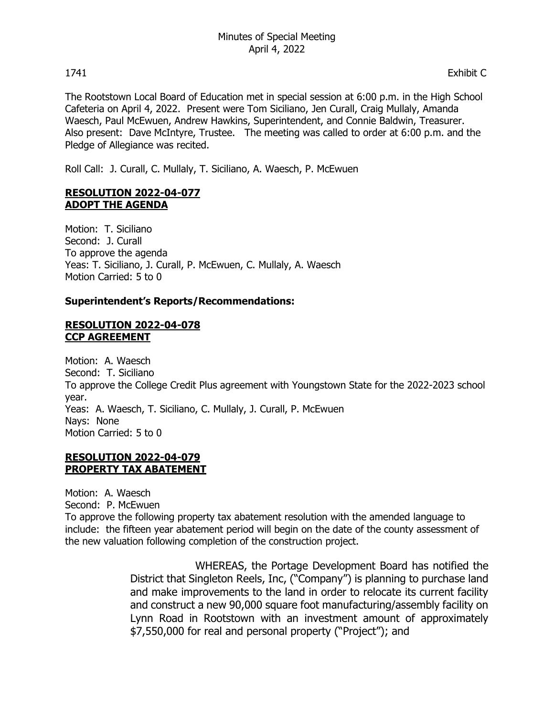The Rootstown Local Board of Education met in special session at 6:00 p.m. in the High School Cafeteria on April 4, 2022. Present were Tom Siciliano, Jen Curall, Craig Mullaly, Amanda Waesch, Paul McEwuen, Andrew Hawkins, Superintendent, and Connie Baldwin, Treasurer. Also present: Dave McIntyre, Trustee. The meeting was called to order at 6:00 p.m. and the Pledge of Allegiance was recited.

Roll Call: J. Curall, C. Mullaly, T. Siciliano, A. Waesch, P. McEwuen

# **RESOLUTION 2022-04-077 ADOPT THE AGENDA**

Motion: T. Siciliano Second: J. Curall To approve the agenda Yeas: T. Siciliano, J. Curall, P. McEwuen, C. Mullaly, A. Waesch Motion Carried: 5 to 0

# **Superintendent's Reports/Recommendations:**

### **RESOLUTION 2022-04-078 CCP AGREEMENT**

Motion: A. Waesch Second: T. Siciliano To approve the College Credit Plus agreement with Youngstown State for the 2022-2023 school year. Yeas: A. Waesch, T. Siciliano, C. Mullaly, J. Curall, P. McEwuen Nays: None Motion Carried: 5 to 0

# **RESOLUTION 2022-04-079 PROPERTY TAX ABATEMENT**

Motion: A. Waesch Second: P. McEwuen To approve the following property tax abatement resolution with the amended language to include: the fifteen year abatement period will begin on the date of the county assessment of the new valuation following completion of the construction project.

> WHEREAS, the Portage Development Board has notified the District that Singleton Reels, Inc, ("Company") is planning to purchase land and make improvements to the land in order to relocate its current facility and construct a new 90,000 square foot manufacturing/assembly facility on Lynn Road in Rootstown with an investment amount of approximately \$7,550,000 for real and personal property ("Project"); and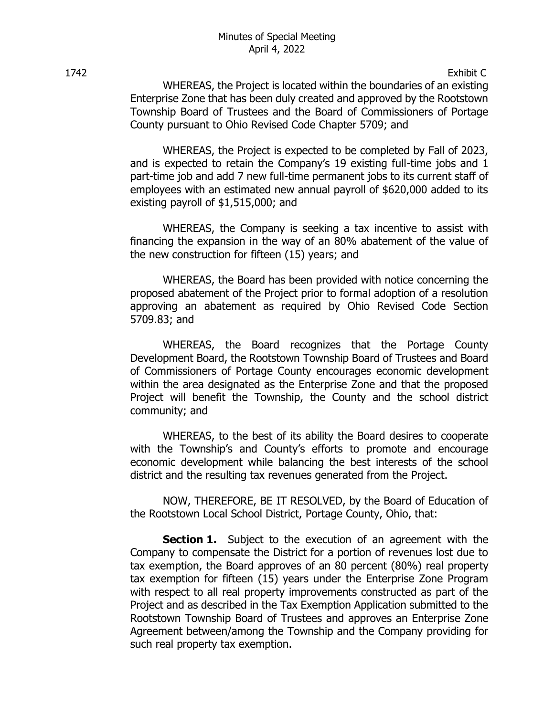1742 Exhibit C

WHEREAS, the Project is located within the boundaries of an existing Enterprise Zone that has been duly created and approved by the Rootstown Township Board of Trustees and the Board of Commissioners of Portage County pursuant to Ohio Revised Code Chapter 5709; and

WHEREAS, the Project is expected to be completed by Fall of 2023, and is expected to retain the Company's 19 existing full-time jobs and 1 part-time job and add 7 new full-time permanent jobs to its current staff of employees with an estimated new annual payroll of \$620,000 added to its existing payroll of \$1,515,000; and

WHEREAS, the Company is seeking a tax incentive to assist with financing the expansion in the way of an 80% abatement of the value of the new construction for fifteen (15) years; and

WHEREAS, the Board has been provided with notice concerning the proposed abatement of the Project prior to formal adoption of a resolution approving an abatement as required by Ohio Revised Code Section 5709.83; and

WHEREAS, the Board recognizes that the Portage County Development Board, the Rootstown Township Board of Trustees and Board of Commissioners of Portage County encourages economic development within the area designated as the Enterprise Zone and that the proposed Project will benefit the Township, the County and the school district community; and

WHEREAS, to the best of its ability the Board desires to cooperate with the Township's and County's efforts to promote and encourage economic development while balancing the best interests of the school district and the resulting tax revenues generated from the Project.

NOW, THEREFORE, BE IT RESOLVED, by the Board of Education of the Rootstown Local School District, Portage County, Ohio, that:

**Section 1.** Subject to the execution of an agreement with the Company to compensate the District for a portion of revenues lost due to tax exemption, the Board approves of an 80 percent (80%) real property tax exemption for fifteen (15) years under the Enterprise Zone Program with respect to all real property improvements constructed as part of the Project and as described in the Tax Exemption Application submitted to the Rootstown Township Board of Trustees and approves an Enterprise Zone Agreement between/among the Township and the Company providing for such real property tax exemption.